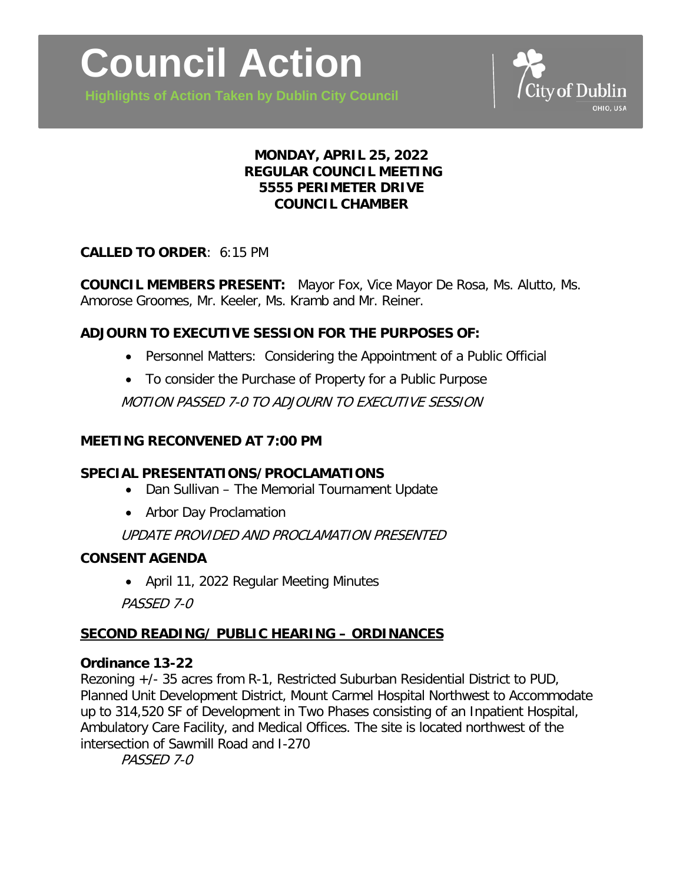

**Highlights of Action Taken by Dublin City Council**

# **MONDAY, APRIL 25, 2022 REGULAR COUNCIL MEETING 5555 PERIMETER DRIVE COUNCIL CHAMBER**

## **CALLED TO ORDER**: 6:15 PM

**COUNCIL MEMBERS PRESENT:** Mayor Fox, Vice Mayor De Rosa, Ms. Alutto, Ms. Amorose Groomes, Mr. Keeler, Ms. Kramb and Mr. Reiner.

# **ADJOURN TO EXECUTIVE SESSION FOR THE PURPOSES OF:**

- Personnel Matters: Considering the Appointment of a Public Official
- To consider the Purchase of Property for a Public Purpose

MOTION PASSED 7-0 TO ADJOURN TO EXECUTIVE SESSION

#### **MEETING RECONVENED AT 7:00 PM**

## **SPECIAL PRESENTATIONS/PROCLAMATIONS**

- Dan Sullivan The Memorial Tournament Update
- Arbor Day Proclamation

UPDATE PROVIDED AND PROCLAMATION PRESENTED

## **CONSENT AGENDA**

• April 11, 2022 Regular Meeting Minutes

PASSED 7-0

## **SECOND READING/ PUBLIC HEARING – ORDINANCES**

## **Ordinance 13-22**

Rezoning +/- 35 acres from R-1, Restricted Suburban Residential District to PUD, Planned Unit Development District, Mount Carmel Hospital Northwest to Accommodate up to 314,520 SF of Development in Two Phases consisting of an Inpatient Hospital, Ambulatory Care Facility, and Medical Offices. The site is located northwest of the intersection of Sawmill Road and I-270

PASSED 7-0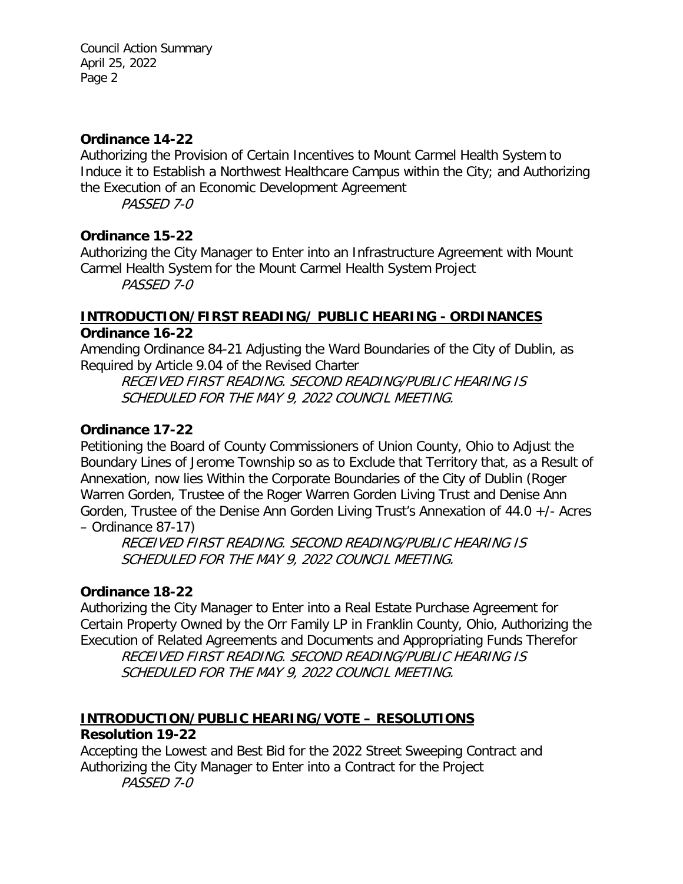#### **Ordinance 14-22**

Authorizing the Provision of Certain Incentives to Mount Carmel Health System to Induce it to Establish a Northwest Healthcare Campus within the City; and Authorizing the Execution of an Economic Development Agreement

PASSED 7-0

## **Ordinance 15-22**

Authorizing the City Manager to Enter into an Infrastructure Agreement with Mount Carmel Health System for the Mount Carmel Health System Project PASSED 7-0

**INTRODUCTION/FIRST READING/ PUBLIC HEARING - ORDINANCES Ordinance 16-22**

Amending Ordinance 84-21 Adjusting the Ward Boundaries of the City of Dublin, as Required by Article 9.04 of the Revised Charter

RECEIVED FIRST READING. SECOND READING/PUBLIC HEARING IS SCHEDULED FOR THE MAY 9, 2022 COUNCIL MEETING.

#### **Ordinance 17-22**

Petitioning the Board of County Commissioners of Union County, Ohio to Adjust the Boundary Lines of Jerome Township so as to Exclude that Territory that, as a Result of Annexation, now lies Within the Corporate Boundaries of the City of Dublin (Roger Warren Gorden, Trustee of the Roger Warren Gorden Living Trust and Denise Ann Gorden, Trustee of the Denise Ann Gorden Living Trust's Annexation of 44.0 +/- Acres – Ordinance 87-17)

RECEIVED FIRST READING. SECOND READING/PUBLIC HEARING IS SCHEDULED FOR THE MAY 9, 2022 COUNCIL MEETING.

## **Ordinance 18-22**

Authorizing the City Manager to Enter into a Real Estate Purchase Agreement for Certain Property Owned by the Orr Family LP in Franklin County, Ohio, Authorizing the Execution of Related Agreements and Documents and Appropriating Funds Therefor

RECEIVED FIRST READING. SECOND READING/PUBLIC HEARING IS SCHEDULED FOR THE MAY 9, 2022 COUNCIL MEETING.

# **INTRODUCTION/PUBLIC HEARING/VOTE – RESOLUTIONS**

## **Resolution 19-22**

Accepting the Lowest and Best Bid for the 2022 Street Sweeping Contract and Authorizing the City Manager to Enter into a Contract for the Project PASSED 7-0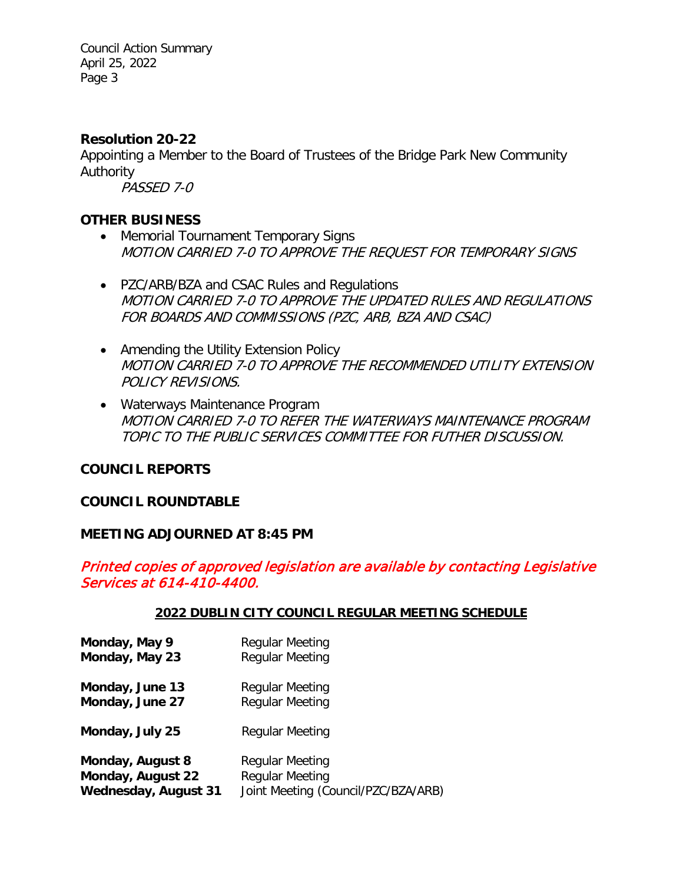Council Action Summary April 25, 2022 Page 3

#### **Resolution 20-22**

Appointing a Member to the Board of Trustees of the Bridge Park New Community Authority

PASSED 7-0

#### **OTHER BUSINESS**

- Memorial Tournament Temporary Signs MOTION CARRIED 7-0 TO APPROVE THE REQUEST FOR TEMPORARY SIGNS
- PZC/ARB/BZA and CSAC Rules and Regulations MOTION CARRIED 7-0 TO APPROVE THE UPDATED RULES AND REGULATIONS FOR BOARDS AND COMMISSIONS (PZC, ARB, BZA AND CSAC)
- Amending the Utility Extension Policy MOTION CARRIED 7-0 TO APPROVE THE RECOMMENDED UTILITY EXTENSION POLICY REVISIONS.
- Waterways Maintenance Program MOTION CARRIED 7-0 TO REFER THE WATERWAYS MAINTENANCE PROGRAM TOPIC TO THE PUBLIC SERVICES COMMITTEE FOR FUTHER DISCUSSION.

#### **COUNCIL REPORTS**

#### **COUNCIL ROUNDTABLE**

#### **MEETING ADJOURNED AT 8:45 PM**

## Printed copies of approved legislation are available by contacting Legislative Services at 614-410-4400.

#### **2022 DUBLIN CITY COUNCIL REGULAR MEETING SCHEDULE**

| Monday, May 9               | <b>Regular Meeting</b>              |
|-----------------------------|-------------------------------------|
| Monday, May 23              | <b>Regular Meeting</b>              |
| Monday, June 13             | Regular Meeting                     |
| Monday, June 27             | <b>Regular Meeting</b>              |
| Monday, July 25             | Regular Meeting                     |
| Monday, August 8            | Regular Meeting                     |
| Monday, August 22           | <b>Regular Meeting</b>              |
| <b>Wednesday, August 31</b> | Joint Meeting (Council/PZC/BZA/ARB) |